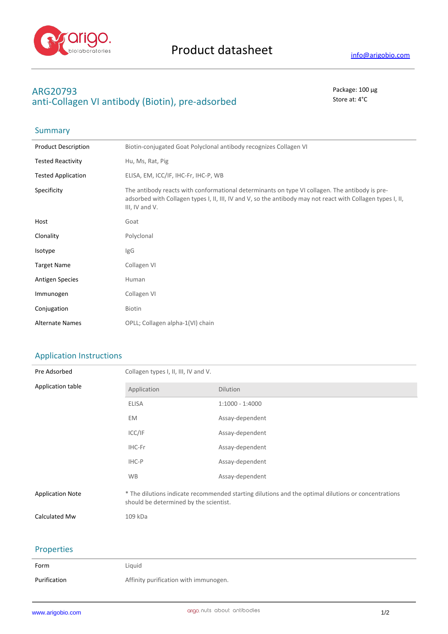

## **ARG20793** Package: 100 μg anti-Collagen VI antibody (Biotin), pre-adsorbed Store at: 4°C

| Summary                    |                                                                                                                                                                                                                                 |
|----------------------------|---------------------------------------------------------------------------------------------------------------------------------------------------------------------------------------------------------------------------------|
| <b>Product Description</b> | Biotin-conjugated Goat Polyclonal antibody recognizes Collagen VI                                                                                                                                                               |
| <b>Tested Reactivity</b>   | Hu, Ms, Rat, Pig                                                                                                                                                                                                                |
| <b>Tested Application</b>  | ELISA, EM, ICC/IF, IHC-Fr, IHC-P, WB                                                                                                                                                                                            |
| Specificity                | The antibody reacts with conformational determinants on type VI collagen. The antibody is pre-<br>adsorbed with Collagen types I, II, III, IV and V, so the antibody may not react with Collagen types I, II,<br>III, IV and V. |
| Host                       | Goat                                                                                                                                                                                                                            |
| Clonality                  | Polyclonal                                                                                                                                                                                                                      |
| Isotype                    | IgG                                                                                                                                                                                                                             |
| <b>Target Name</b>         | Collagen VI                                                                                                                                                                                                                     |
| <b>Antigen Species</b>     | Human                                                                                                                                                                                                                           |
| Immunogen                  | Collagen VI                                                                                                                                                                                                                     |
| Conjugation                | Biotin                                                                                                                                                                                                                          |
| <b>Alternate Names</b>     | OPLL; Collagen alpha-1(VI) chain                                                                                                                                                                                                |

## Application Instructions

| Pre Adsorbed            | Collagen types I, II, III, IV and V.                                                                                                          |                   |
|-------------------------|-----------------------------------------------------------------------------------------------------------------------------------------------|-------------------|
| Application table       | Application                                                                                                                                   | Dilution          |
|                         | <b>ELISA</b>                                                                                                                                  | $1:1000 - 1:4000$ |
|                         | EM                                                                                                                                            | Assay-dependent   |
|                         | ICC/IF                                                                                                                                        | Assay-dependent   |
|                         | IHC-Fr                                                                                                                                        | Assay-dependent   |
|                         | IHC-P                                                                                                                                         | Assay-dependent   |
|                         | <b>WB</b>                                                                                                                                     | Assay-dependent   |
| <b>Application Note</b> | * The dilutions indicate recommended starting dilutions and the optimal dilutions or concentrations<br>should be determined by the scientist. |                   |
| Calculated Mw           | 109 kDa                                                                                                                                       |                   |

## Properties

| Form         | Liguid                                |
|--------------|---------------------------------------|
| Purification | Affinity purification with immunogen. |